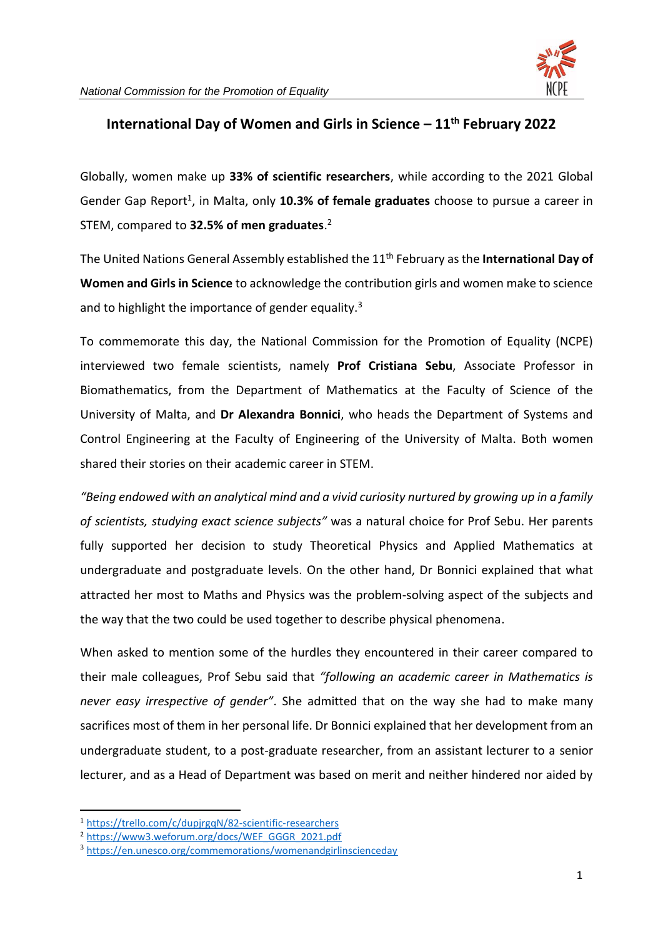

## **International Day of Women and Girls in Science – 11th February 2022**

Globally, women make up **33% of scientific researchers**, while according to the 2021 Global Gender Gap Report<sup>1</sup>, in Malta, only 10.3% of female graduates choose to pursue a career in STEM, compared to **32.5% of men graduates**. 2

The United Nations General Assembly established the 11th February as the **International Day of Women and Girls in Science** to acknowledge the contribution girls and women make to science and to highlight the importance of gender equality.<sup>3</sup>

To commemorate this day, the National Commission for the Promotion of Equality (NCPE) interviewed two female scientists, namely **Prof Cristiana Sebu**, Associate Professor in Biomathematics, from the Department of Mathematics at the Faculty of Science of the University of Malta, and **Dr Alexandra Bonnici**, who heads the Department of Systems and Control Engineering at the Faculty of Engineering of the University of Malta. Both women shared their stories on their academic career in STEM.

*"Being endowed with an analytical mind and a vivid curiosity nurtured by growing up in a family of scientists, studying exact science subjects"* was a natural choice for Prof Sebu. Her parents fully supported her decision to study Theoretical Physics and Applied Mathematics at undergraduate and postgraduate levels. On the other hand, Dr Bonnici explained that what attracted her most to Maths and Physics was the problem-solving aspect of the subjects and the way that the two could be used together to describe physical phenomena.

When asked to mention some of the hurdles they encountered in their career compared to their male colleagues, Prof Sebu said that *"following an academic career in Mathematics is never easy irrespective of gender"*. She admitted that on the way she had to make many sacrifices most of them in her personal life. Dr Bonnici explained that her development from an undergraduate student, to a post-graduate researcher, from an assistant lecturer to a senior lecturer, and as a Head of Department was based on merit and neither hindered nor aided by

<sup>1</sup> <https://trello.com/c/dupjrgqN/82-scientific-researchers>

<sup>2</sup> [https://www3.weforum.org/docs/WEF\\_GGGR\\_2021.pdf](https://www3.weforum.org/docs/WEF_GGGR_2021.pdf)

<sup>3</sup> <https://en.unesco.org/commemorations/womenandgirlinscienceday>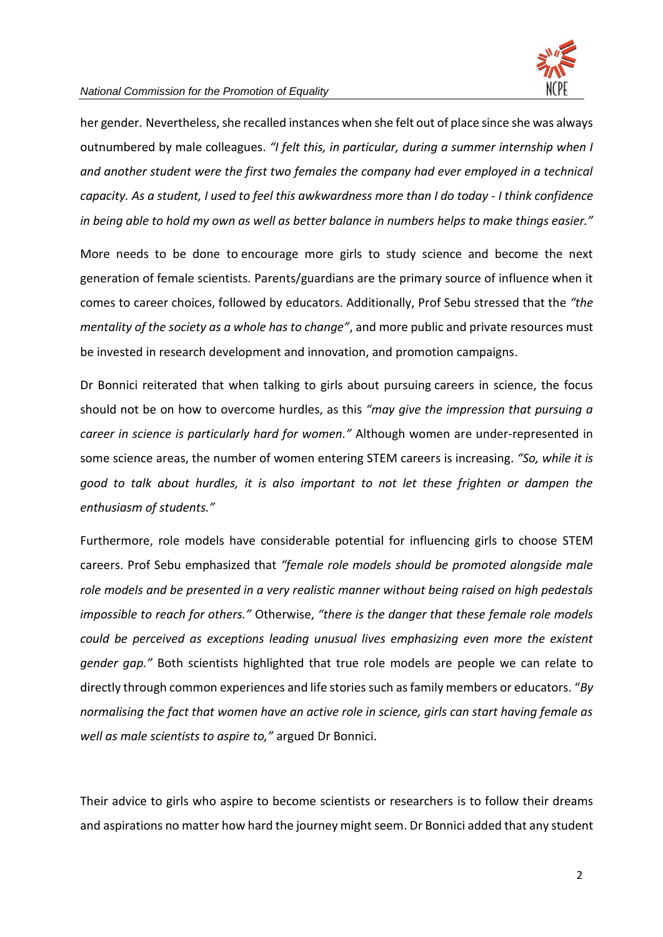

## *National Commission for the Promotion of Equality*

her gender. Nevertheless, she recalled instances when she felt out of place since she was always outnumbered by male colleagues. *"I felt this, in particular, during a summer internship when I and another student were the first two females the company had ever employed in a technical capacity. As a student, I used to feel this awkwardness more than I do today - I think confidence in being able to hold my own as well as better balance in numbers helps to make things easier."*

More needs to be done to encourage more girls to study science and become the next generation of female scientists. Parents/guardians are the primary source of influence when it comes to career choices, followed by educators. Additionally, Prof Sebu stressed that the *"the mentality of the society as a whole has to change"*, and more public and private resources must be invested in research development and innovation, and promotion campaigns.

Dr Bonnici reiterated that when talking to girls about pursuing careers in science, the focus should not be on how to overcome hurdles, as this *"may give the impression that pursuing a career in science is particularly hard for women."* Although women are under-represented in some science areas, the number of women entering STEM careers is increasing. *"So, while it is good to talk about hurdles, it is also important to not let these frighten or dampen the enthusiasm of students."*

Furthermore, role models have considerable potential for influencing girls to choose STEM careers. Prof Sebu emphasized that *"female role models should be promoted alongside male role models and be presented in a very realistic manner without being raised on high pedestals impossible to reach for others."* Otherwise, *"there is the danger that these female role models could be perceived as exceptions leading unusual lives emphasizing even more the existent gender gap."* Both scientists highlighted that true role models are people we can relate to directly through common experiences and life stories such as family members or educators. "*By normalising the fact that women have an active role in science, girls can start having female as well as male scientists to aspire to,"* argued Dr Bonnici.

Their advice to girls who aspire to become scientists or researchers is to follow their dreams and aspirations no matter how hard the journey might seem. Dr Bonnici added that any student